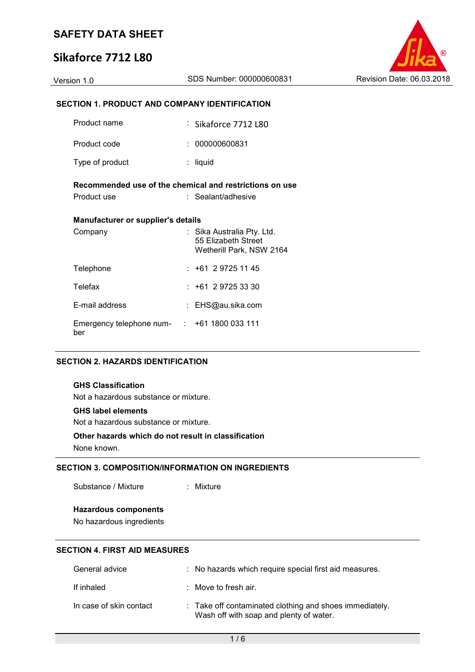## **Sikaforce 7712 L80**



## **SECTION 1. PRODUCT AND COMPANY IDENTIFICATION**

| Product name                                            |  | : Sikaforce 7712 L80                                                          |  |  |  |
|---------------------------------------------------------|--|-------------------------------------------------------------------------------|--|--|--|
| Product code                                            |  | : 000000600831                                                                |  |  |  |
| Type of product                                         |  | liquid                                                                        |  |  |  |
| Recommended use of the chemical and restrictions on use |  |                                                                               |  |  |  |
| Product use                                             |  | : Sealant/adhesive                                                            |  |  |  |
| <b>Manufacturer or supplier's details</b>               |  |                                                                               |  |  |  |
| Company                                                 |  | : Sika Australia Pty. Ltd.<br>55 Elizabeth Street<br>Wetherill Park, NSW 2164 |  |  |  |
| Telephone                                               |  | $: +61297251145$                                                              |  |  |  |
| Telefax                                                 |  | $: +61297253330$                                                              |  |  |  |
| E-mail address                                          |  | : EHS@au.sika.com                                                             |  |  |  |
| Emergency telephone num- : +61 1800 033 111<br>ber      |  |                                                                               |  |  |  |

## **SECTION 2. HAZARDS IDENTIFICATION**

#### **GHS Classification**

Not a hazardous substance or mixture.

#### **GHS label elements**

Not a hazardous substance or mixture.

# **Other hazards which do not result in classification**

None known.

## **SECTION 3. COMPOSITION/INFORMATION ON INGREDIENTS**

Substance / Mixture : Mixture

### **Hazardous components**

No hazardous ingredients

## **SECTION 4. FIRST AID MEASURES**

| General advice          | : No hazards which require special first aid measures.                                             |
|-------------------------|----------------------------------------------------------------------------------------------------|
| If inhaled              | : Move to fresh air.                                                                               |
| In case of skin contact | : Take off contaminated clothing and shoes immediately.<br>Wash off with soap and plenty of water. |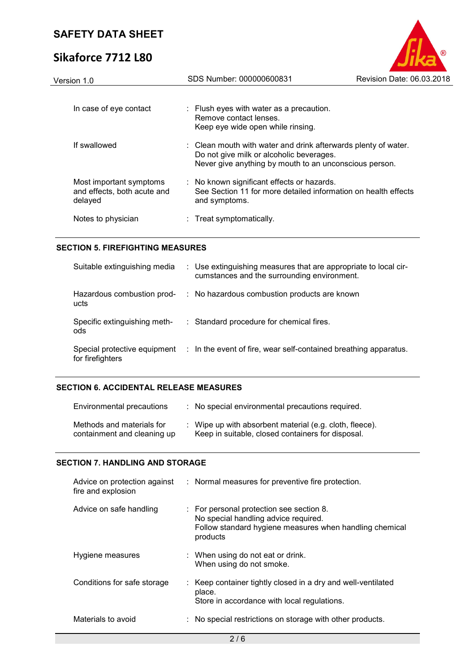# **Sikaforce 7712 L80**



| Version 1.0                                                       | SDS Number: 000000600831                                                                                                                                             | Revision Date: 06.03.2018 |
|-------------------------------------------------------------------|----------------------------------------------------------------------------------------------------------------------------------------------------------------------|---------------------------|
| In case of eye contact                                            | : Flush eyes with water as a precaution.<br>Remove contact lenses.<br>Keep eye wide open while rinsing.                                                              |                           |
| If swallowed                                                      | : Clean mouth with water and drink afterwards plenty of water.<br>Do not give milk or alcoholic beverages.<br>Never give anything by mouth to an unconscious person. |                           |
| Most important symptoms<br>and effects, both acute and<br>delayed | : No known significant effects or hazards.<br>See Section 11 for more detailed information on health effects<br>and symptoms.                                        |                           |
| Notes to physician                                                | : Treat symptomatically.                                                                                                                                             |                           |
|                                                                   |                                                                                                                                                                      |                           |

## **SECTION 5. FIREFIGHTING MEASURES**

| Suitable extinguishing media                     | : Use extinguishing measures that are appropriate to local cir-<br>cumstances and the surrounding environment. |
|--------------------------------------------------|----------------------------------------------------------------------------------------------------------------|
| Hazardous combustion prod-<br>ucts               | : No hazardous combustion products are known                                                                   |
| Specific extinguishing meth-<br>ods              | : Standard procedure for chemical fires.                                                                       |
| Special protective equipment<br>for firefighters | : In the event of fire, wear self-contained breathing apparatus.                                               |

## **SECTION 6. ACCIDENTAL RELEASE MEASURES**

| Environmental precautions                                | : No special environmental precautions required.                                                             |
|----------------------------------------------------------|--------------------------------------------------------------------------------------------------------------|
| Methods and materials for<br>containment and cleaning up | : Wipe up with absorbent material (e.g. cloth, fleece).<br>Keep in suitable, closed containers for disposal. |

## **SECTION 7. HANDLING AND STORAGE**

| Advice on protection against<br>fire and explosion | : Normal measures for preventive fire protection.                                                                                                       |
|----------------------------------------------------|---------------------------------------------------------------------------------------------------------------------------------------------------------|
| Advice on safe handling                            | : For personal protection see section 8.<br>No special handling advice required.<br>Follow standard hygiene measures when handling chemical<br>products |
| Hygiene measures                                   | : When using do not eat or drink.<br>When using do not smoke.                                                                                           |
| Conditions for safe storage                        | : Keep container tightly closed in a dry and well-ventilated<br>place.<br>Store in accordance with local regulations.                                   |
| Materials to avoid                                 | : No special restrictions on storage with other products.                                                                                               |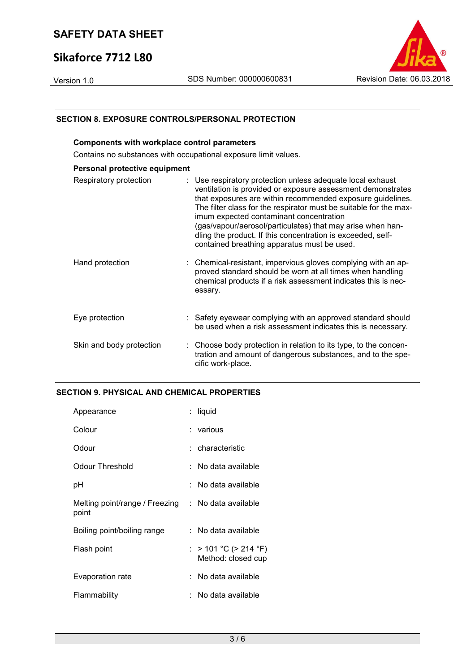## **Sikaforce 7712 L80**



## **SECTION 8. EXPOSURE CONTROLS/PERSONAL PROTECTION**

| <b>Components with workplace control parameters</b>             |                                                                                                                                                                                                                                                                                                                                                                                                                                                                                     |  |  |  |
|-----------------------------------------------------------------|-------------------------------------------------------------------------------------------------------------------------------------------------------------------------------------------------------------------------------------------------------------------------------------------------------------------------------------------------------------------------------------------------------------------------------------------------------------------------------------|--|--|--|
| Contains no substances with occupational exposure limit values. |                                                                                                                                                                                                                                                                                                                                                                                                                                                                                     |  |  |  |
| Personal protective equipment                                   |                                                                                                                                                                                                                                                                                                                                                                                                                                                                                     |  |  |  |
| Respiratory protection                                          | : Use respiratory protection unless adequate local exhaust<br>ventilation is provided or exposure assessment demonstrates<br>that exposures are within recommended exposure guidelines.<br>The filter class for the respirator must be suitable for the max-<br>imum expected contaminant concentration<br>(gas/vapour/aerosol/particulates) that may arise when han-<br>dling the product. If this concentration is exceeded, self-<br>contained breathing apparatus must be used. |  |  |  |
| Hand protection                                                 | : Chemical-resistant, impervious gloves complying with an ap-<br>proved standard should be worn at all times when handling<br>chemical products if a risk assessment indicates this is nec-<br>essary.                                                                                                                                                                                                                                                                              |  |  |  |
| Eye protection                                                  | : Safety eyewear complying with an approved standard should<br>be used when a risk assessment indicates this is necessary.                                                                                                                                                                                                                                                                                                                                                          |  |  |  |
| Skin and body protection                                        | : Choose body protection in relation to its type, to the concen-<br>tration and amount of dangerous substances, and to the spe-<br>cific work-place.                                                                                                                                                                                                                                                                                                                                |  |  |  |

## **SECTION 9. PHYSICAL AND CHEMICAL PROPERTIES**

| Appearance                              | liquid                                      |
|-----------------------------------------|---------------------------------------------|
| Colour                                  | : various                                   |
| Odour                                   | : characteristic                            |
| Odour Threshold                         | :   No data available                       |
| рH                                      | No data available                           |
| Melting point/range / Freezing<br>point | : No data available                         |
| Boiling point/boiling range             | :   No data available                       |
| Flash point                             | : > 101 °C (> 214 °F)<br>Method: closed cup |
| Evaporation rate                        | No data available                           |
| Flammability                            | No data available                           |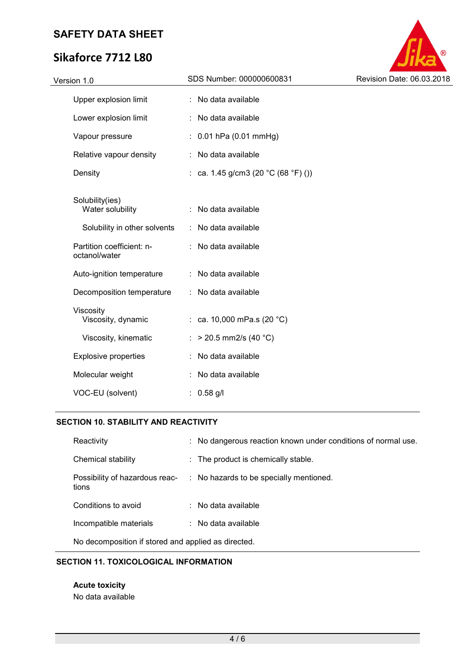# **Sikaforce 7712 L80**



## **SECTION 10. STABILITY AND REACTIVITY**

| Reactivity                                          |  | : No dangerous reaction known under conditions of normal use. |  |
|-----------------------------------------------------|--|---------------------------------------------------------------|--|
| Chemical stability                                  |  | : The product is chemically stable.                           |  |
| Possibility of hazardous reac-<br>tions             |  | : No hazards to be specially mentioned.                       |  |
| Conditions to avoid                                 |  | $:$ No data available                                         |  |
| Incompatible materials                              |  | $\therefore$ No data available                                |  |
| No decomposition if stored and applied as directed. |  |                                                               |  |

## **SECTION 11. TOXICOLOGICAL INFORMATION**

**Acute toxicity**  No data available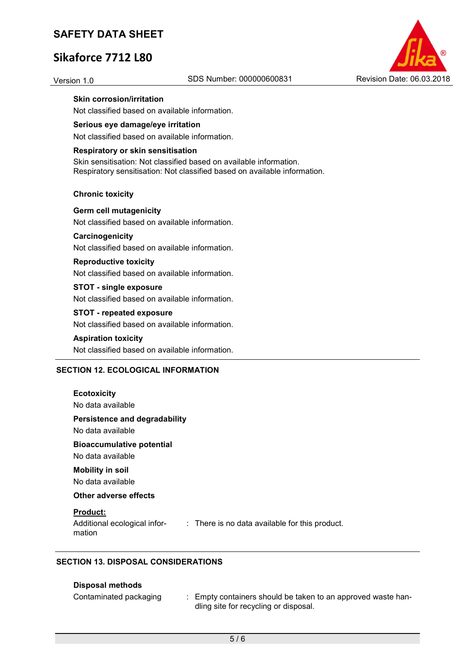## **Sikaforce 7712 L80**



## **Skin corrosion/irritation**

Not classified based on available information.

## **Serious eye damage/eye irritation**

Not classified based on available information.

#### **Respiratory or skin sensitisation**

Skin sensitisation: Not classified based on available information. Respiratory sensitisation: Not classified based on available information.

#### **Chronic toxicity**

**Germ cell mutagenicity**  Not classified based on available information.

## **Carcinogenicity**

Not classified based on available information.

## **Reproductive toxicity**

Not classified based on available information.

## **STOT - single exposure**

Not classified based on available information.

### **STOT - repeated exposure**

Not classified based on available information.

#### **Aspiration toxicity**

Not classified based on available information.

## **SECTION 12. ECOLOGICAL INFORMATION**

| <b>Ecotoxicity</b><br>No data available                                                                     |
|-------------------------------------------------------------------------------------------------------------|
| <b>Persistence and degradability</b><br>No data available                                                   |
| <b>Bioaccumulative potential</b><br>No data available                                                       |
| <b>Mobility in soil</b><br>No data available                                                                |
| Other adverse effects                                                                                       |
| <b>Product:</b><br>Additional ecological infor-<br>: There is no data available for this product.<br>mation |

## **SECTION 13. DISPOSAL CONSIDERATIONS**

#### **Disposal methods**

| Contaminated packaging | Empty containers should be taken to an approved waste han- |
|------------------------|------------------------------------------------------------|
|                        | dling site for recycling or disposal.                      |